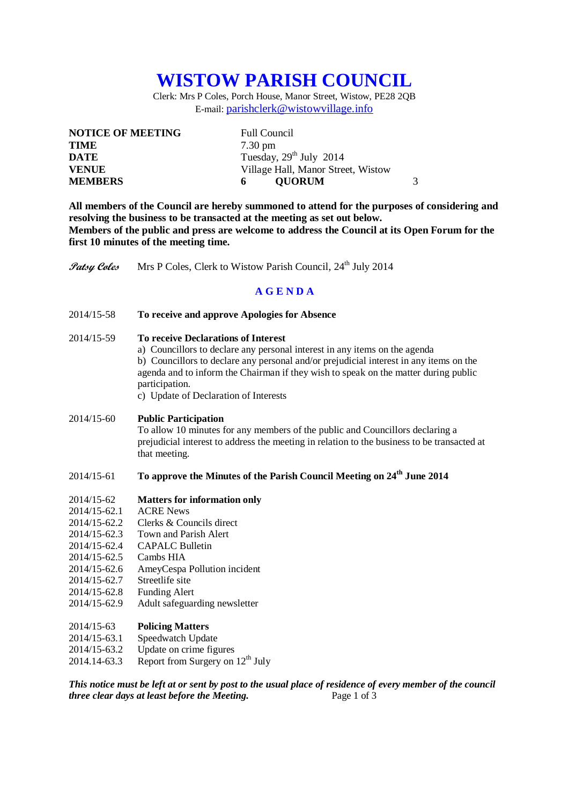# **WISTOW PARISH COUNCIL**

Clerk: Mrs P Coles, Porch House, Manor Street, Wistow, PE28 2QB E-mail: [parishclerk@wistowvillage.info](mailto:parishclerk@wistowvillage.info)

| <b>NOTICE OF MEETING</b> | <b>Full Council</b>                |
|--------------------------|------------------------------------|
| <b>TIME</b>              | $7.30 \text{ pm}$                  |
| DATE                     | Tuesday, $29th$ July 2014          |
| <b>VENUE</b>             | Village Hall, Manor Street, Wistow |
| <b>MEMBERS</b>           | 3<br><b>OUORUM</b><br>6            |

**All members of the Council are hereby summoned to attend for the purposes of considering and resolving the business to be transacted at the meeting as set out below. Members of the public and press are welcome to address the Council at its Open Forum for the first 10 minutes of the meeting time.**

**Patsy Coles** Mrs P Coles, Clerk to Wistow Parish Council, 24<sup>th</sup> July 2014

## **A G E N D A**

- 2014/15-58 **To receive and approve Apologies for Absence**
- 2014/15-59 **To receive Declarations of Interest**
	- a) Councillors to declare any personal interest in any items on the agenda b) Councillors to declare any personal and/or prejudicial interest in any items on the agenda and to inform the Chairman if they wish to speak on the matter during public participation.
	- c) Update of Declaration of Interests

#### 2014/15-60 **Public Participation**

To allow 10 minutes for any members of the public and Councillors declaring a prejudicial interest to address the meeting in relation to the business to be transacted at that meeting.

## 2014/15-61 **To approve the Minutes of the Parish Council Meeting on 24th June 2014**

## 2014/15-62 **Matters for information only**

- 2014/15-62.1 ACRE News
- 2014/15-62.2 Clerks & Councils direct
- 2014/15-62.3 Town and Parish Alert
- 2014/15-62.4 CAPALC Bulletin
- 2014/15-62.5 Cambs HIA
- 2014/15-62.6 AmeyCespa Pollution incident<br>2014/15-62.7 Streetlife site
- $2014/15 62.7$
- 2014/15-62.8 Funding Alert
- 2014/15-62.9 Adult safeguarding newsletter

## 2014/15-63 **Policing Matters**

- 2014/15-63.1 Speedwatch Update
- 2014/15-63.2 Update on crime figures
- 2014.14-63.3 Report from Surgery on  $12^{th}$  July

*This notice must be left at or sent by post to the usual place of residence of every member of the council three clear days at least before the Meeting.* Page 1 of 3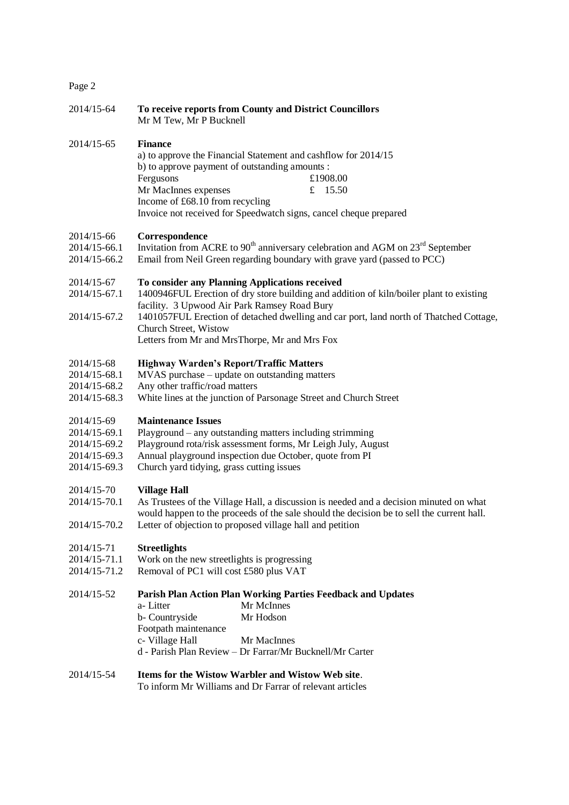## Page 2

| 2014/15-64                                                                 | To receive reports from County and District Councillors<br>Mr M Tew, Mr P Bucknell                                                                                                                                                                                                                                                                            |
|----------------------------------------------------------------------------|---------------------------------------------------------------------------------------------------------------------------------------------------------------------------------------------------------------------------------------------------------------------------------------------------------------------------------------------------------------|
| 2014/15-65                                                                 | <b>Finance</b><br>a) to approve the Financial Statement and cashflow for 2014/15<br>b) to approve payment of outstanding amounts :<br>Fergusons<br>£1908.00<br>Mr MacInnes expenses<br>£ $15.50$<br>Income of £68.10 from recycling<br>Invoice not received for Speedwatch signs, cancel cheque prepared                                                      |
| 2014/15-66<br>2014/15-66.1<br>2014/15-66.2                                 | Correspondence<br>Invitation from ACRE to 90 <sup>th</sup> anniversary celebration and AGM on $23^{\text{rd}}$ September<br>Email from Neil Green regarding boundary with grave yard (passed to PCC)                                                                                                                                                          |
| 2014/15-67<br>2014/15-67.1<br>2014/15-67.2                                 | To consider any Planning Applications received<br>1400946FUL Erection of dry store building and addition of kiln/boiler plant to existing<br>facility. 3 Upwood Air Park Ramsey Road Bury<br>1401057FUL Erection of detached dwelling and car port, land north of Thatched Cottage,<br>Church Street, Wistow<br>Letters from Mr and MrsThorpe, Mr and Mrs Fox |
| 2014/15-68<br>2014/15-68.1<br>2014/15-68.2<br>2014/15-68.3                 | <b>Highway Warden's Report/Traffic Matters</b><br>MVAS purchase – update on outstanding matters<br>Any other traffic/road matters<br>White lines at the junction of Parsonage Street and Church Street                                                                                                                                                        |
| 2014/15-69<br>2014/15-69.1<br>2014/15-69.2<br>2014/15-69.3<br>2014/15-69.3 | <b>Maintenance Issues</b><br>Playground – any outstanding matters including strimming<br>Playground rota/risk assessment forms, Mr Leigh July, August<br>Annual playground inspection due October, quote from PI<br>Church yard tidying, grass cutting issues                                                                                                 |
| 2014/15-70<br>2014/15-70.1<br>2014/15-70.2                                 | <b>Village Hall</b><br>As Trustees of the Village Hall, a discussion is needed and a decision minuted on what<br>would happen to the proceeds of the sale should the decision be to sell the current hall.<br>Letter of objection to proposed village hall and petition                                                                                       |
| 2014/15-71<br>2014/15-71.1<br>2014/15-71.2                                 | <b>Streetlights</b><br>Work on the new streetlights is progressing<br>Removal of PC1 will cost £580 plus VAT                                                                                                                                                                                                                                                  |
| 2014/15-52                                                                 | Parish Plan Action Plan Working Parties Feedback and Updates<br>a-Litter<br>Mr McInnes<br>Mr Hodson<br>b- Countryside<br>Footpath maintenance<br>c- Village Hall<br>Mr MacInnes<br>d - Parish Plan Review - Dr Farrar/Mr Bucknell/Mr Carter                                                                                                                   |
| 2014/15-54                                                                 | Items for the Wistow Warbler and Wistow Web site.                                                                                                                                                                                                                                                                                                             |

To inform Mr Williams and Dr Farrar of relevant articles